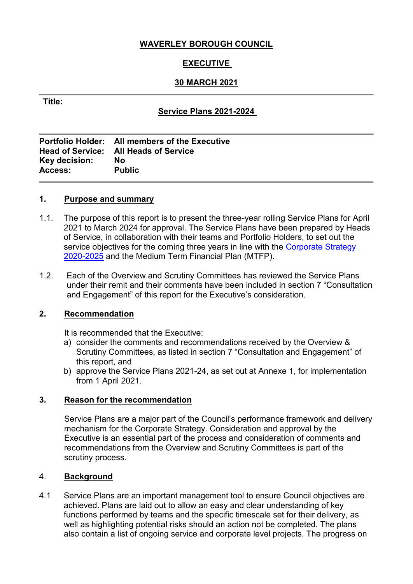# **WAVERLEY BOROUGH COUNCIL**

# **EXECUTIVE**

# **30 MARCH 2021**

### **Title:**

# **Service Plans 2021-2024**

|                | Portfolio Holder: All members of the Executive |
|----------------|------------------------------------------------|
|                | <b>Head of Service: All Heads of Service</b>   |
| Key decision:  | Nο                                             |
| <b>Access:</b> | <b>Public</b>                                  |
|                |                                                |

#### **1. Purpose and summary**

- 1.1. The purpose of this report is to present the three-year rolling Service Plans for April 2021 to March 2024 for approval. The Service Plans have been prepared by Heads of Service, in collaboration with their teams and Portfolio Holders, to set out the service objectives for the coming three years in line with the Corporate Strategy [2020-2025](https://www.waverley.gov.uk/Services/Council-information/About-Waverley-Borough-Council/Corporate-Strategy-2020-25) and the Medium Term Financial Plan (MTFP).
- 1.2. Each of the Overview and Scrutiny Committees has reviewed the Service Plans under their remit and their comments have been included in section 7 "Consultation and Engagement" of this report for the Executive's consideration.

### **2. Recommendation**

It is recommended that the Executive:

- a) consider the comments and recommendations received by the Overview & Scrutiny Committees, as listed in section 7 "Consultation and Engagement" of this report, and
- b) approve the Service Plans 2021-24, as set out at Annexe 1, for implementation from 1 April 2021.

### **3. Reason for the recommendation**

Service Plans are a major part of the Council's performance framework and delivery mechanism for the Corporate Strategy. Consideration and approval by the Executive is an essential part of the process and consideration of comments and recommendations from the Overview and Scrutiny Committees is part of the scrutiny process.

### 4. **Background**

4.1 Service Plans are an important management tool to ensure Council objectives are achieved. Plans are laid out to allow an easy and clear understanding of key functions performed by teams and the specific timescale set for their delivery, as well as highlighting potential risks should an action not be completed. The plans also contain a list of ongoing service and corporate level projects. The progress on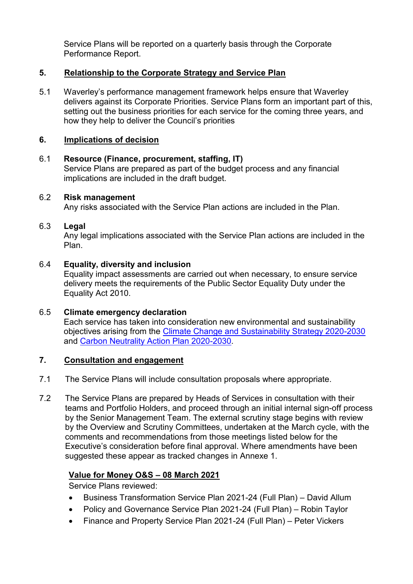Service Plans will be reported on a quarterly basis through the Corporate Performance Report.

# **5. Relationship to the Corporate Strategy and Service Plan**

5.1 Waverley's performance management framework helps ensure that Waverley delivers against its Corporate Priorities. Service Plans form an important part of this, setting out the business priorities for each service for the coming three years, and how they help to deliver the Council's priorities

### **6. Implications of decision**

### 6.1 **Resource (Finance, procurement, staffing, IT)**

Service Plans are prepared as part of the budget process and any financial implications are included in the draft budget.

### 6.2 **Risk management**

Any risks associated with the Service Plan actions are included in the Plan.

### 6.3 **Legal**

Any legal implications associated with the Service Plan actions are included in the Plan.

#### 6.4 **Equality, diversity and inclusion**

Equality impact assessments are carried out when necessary, to ensure service delivery meets the requirements of the Public Sector Equality Duty under the Equality Act 2010.

6.5 **Climate emergency declaration** Each service has taken into consideration new environmental and sustainability objectives arising from the Climate Change [and Sustainability Strategy 2020-2030](https://www.waverley.gov.uk/Portals/0/Documents/services/environmental-concerns/climate%20change/Waverley%20Climate%20Change%20and%20Sustainability%20Strategy%202020-2030.pdf?ver=p5MtCQyQ4W0Ve0WDKPdZEA%3d%3d) and [Carbon Neutrality Action Plan 2020-2030.](https://www.waverley.gov.uk/Portals/0/Documents/services/environmental-concerns/climate%20change/Waverley%20Carbon%20Neutrality%20Action%20Plan%202020-2030.pdf?ver=SpUdY9hngMRQOcVKybZ9xg%3d%3d)

### **7. Consultation and engagement**

- 7.1 The Service Plans will include consultation proposals where appropriate.
- 7.2 The Service Plans are prepared by Heads of Services in consultation with their teams and Portfolio Holders, and proceed through an initial internal sign-off process by the Senior Management Team. The external scrutiny stage begins with review by the Overview and Scrutiny Committees, undertaken at the March cycle, with the comments and recommendations from those meetings listed below for the Executive's consideration before final approval. Where amendments have been suggested these appear as tracked changes in Annexe 1.

### **Value for Money O&S – 08 March 2021**

Service Plans reviewed:

- Business Transformation Service Plan 2021-24 (Full Plan) David Allum
- Policy and Governance Service Plan 2021-24 (Full Plan) Robin Taylor
- Finance and Property Service Plan 2021-24 (Full Plan) Peter Vickers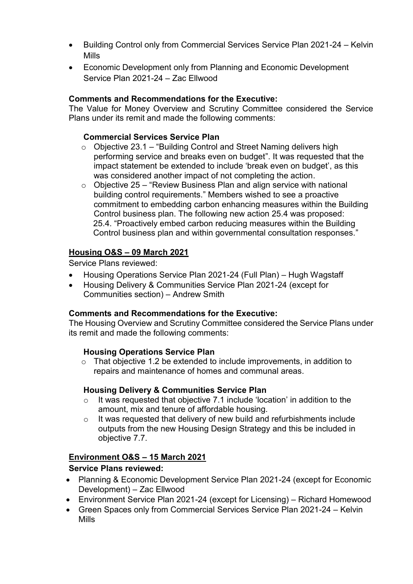- Building Control only from Commercial Services Service Plan 2021-24 Kelvin Mills
- Economic Development only from Planning and Economic Development Service Plan 2021-24 – Zac Ellwood

# **Comments and Recommendations for the Executive:**

The Value for Money Overview and Scrutiny Committee considered the Service Plans under its remit and made the following comments:

# **Commercial Services Service Plan**

- $\circ$  Objective 23.1 "Building Control and Street Naming delivers high performing service and breaks even on budget". It was requested that the impact statement be extended to include 'break even on budget', as this was considered another impact of not completing the action.
- $\circ$  Objective 25 "Review Business Plan and align service with national building control requirements." Members wished to see a proactive commitment to embedding carbon enhancing measures within the Building Control business plan. The following new action 25.4 was proposed: 25.4. "Proactively embed carbon reducing measures within the Building Control business plan and within governmental consultation responses."

# **Housing O&S – 09 March 2021**

Service Plans reviewed:

- Housing Operations Service Plan 2021-24 (Full Plan) Hugh Wagstaff
- Housing Delivery & Communities Service Plan 2021-24 (except for Communities section) – Andrew Smith

# **Comments and Recommendations for the Executive:**

The Housing Overview and Scrutiny Committee considered the Service Plans under its remit and made the following comments:

# **Housing Operations Service Plan**

o That objective 1.2 be extended to include improvements, in addition to repairs and maintenance of homes and communal areas.

# **Housing Delivery & Communities Service Plan**

- o It was requested that objective 7.1 include 'location' in addition to the amount, mix and tenure of affordable housing.
- o It was requested that delivery of new build and refurbishments include outputs from the new Housing Design Strategy and this be included in objective 7.7.

# **Environment O&S – 15 March 2021**

# **Service Plans reviewed:**

- Planning & Economic Development Service Plan 2021-24 (except for Economic Development) – Zac Ellwood
- Environment Service Plan 2021-24 (except for Licensing) Richard Homewood
- Green Spaces only from Commercial Services Service Plan 2021-24 Kelvin Mills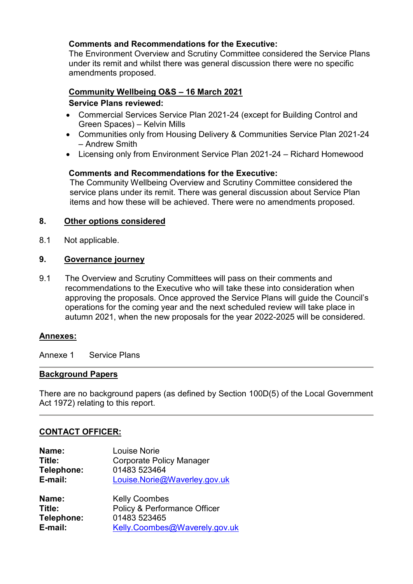### **Comments and Recommendations for the Executive:**

The Environment Overview and Scrutiny Committee considered the Service Plans under its remit and whilst there was general discussion there were no specific amendments proposed.

# **Community Wellbeing O&S – 16 March 2021 Service Plans reviewed:**

- Commercial Services Service Plan 2021-24 (except for Building Control and Green Spaces) – Kelvin Mills
- Communities only from Housing Delivery & Communities Service Plan 2021-24 – Andrew Smith
- Licensing only from Environment Service Plan 2021-24 Richard Homewood

### **Comments and Recommendations for the Executive:**

The Community Wellbeing Overview and Scrutiny Committee considered the service plans under its remit. There was general discussion about Service Plan items and how these will be achieved. There were no amendments proposed.

### **8. Other options considered**

8.1 Not applicable.

### **9. Governance journey**

9.1 The Overview and Scrutiny Committees will pass on their comments and recommendations to the Executive who will take these into consideration when approving the proposals. Once approved the Service Plans will guide the Council's operations for the coming year and the next scheduled review will take place in autumn 2021, when the new proposals for the year 2022-2025 will be considered.

### **Annexes:**

Annexe 1 Service Plans

### **Background Papers**

There are no background papers (as defined by Section 100D(5) of the Local Government Act 1972) relating to this report.

### **CONTACT OFFICER:**

| Name:<br>Title:<br>Telephone:<br>E-mail: | Louise Norie<br><b>Corporate Policy Manager</b><br>01483 523464<br>Louise.Norie@Waverley.gov.uk |
|------------------------------------------|-------------------------------------------------------------------------------------------------|
| Name:                                    | <b>Kelly Coombes</b>                                                                            |
| Title:                                   | Policy & Performance Officer                                                                    |
| Telephone:                               | 01483 523465                                                                                    |
| E-mail:                                  | Kelly.Coombes@Waverely.gov.uk                                                                   |